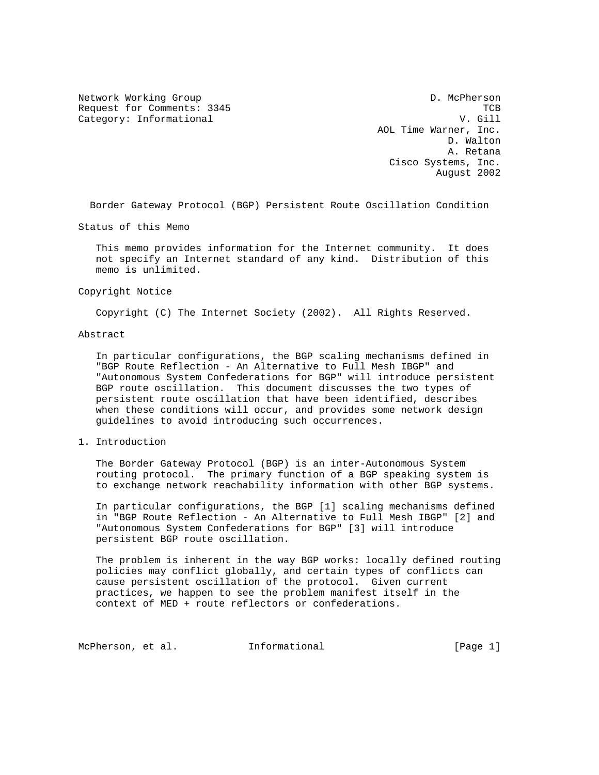Network Working Group Description of the D. McPherson Request for Comments: 3345 TCB Category: Informational V. Gill

 AOL Time Warner, Inc. D. Walton A. Retana Cisco Systems, Inc. August 2002

Border Gateway Protocol (BGP) Persistent Route Oscillation Condition

Status of this Memo

 This memo provides information for the Internet community. It does not specify an Internet standard of any kind. Distribution of this memo is unlimited.

Copyright Notice

Copyright (C) The Internet Society (2002). All Rights Reserved.

Abstract

 In particular configurations, the BGP scaling mechanisms defined in "BGP Route Reflection - An Alternative to Full Mesh IBGP" and "Autonomous System Confederations for BGP" will introduce persistent BGP route oscillation. This document discusses the two types of persistent route oscillation that have been identified, describes when these conditions will occur, and provides some network design guidelines to avoid introducing such occurrences.

1. Introduction

 The Border Gateway Protocol (BGP) is an inter-Autonomous System routing protocol. The primary function of a BGP speaking system is to exchange network reachability information with other BGP systems.

 In particular configurations, the BGP [1] scaling mechanisms defined in "BGP Route Reflection - An Alternative to Full Mesh IBGP" [2] and "Autonomous System Confederations for BGP" [3] will introduce persistent BGP route oscillation.

 The problem is inherent in the way BGP works: locally defined routing policies may conflict globally, and certain types of conflicts can cause persistent oscillation of the protocol. Given current practices, we happen to see the problem manifest itself in the context of MED + route reflectors or confederations.

McPherson, et al. 1nformational [Page 1]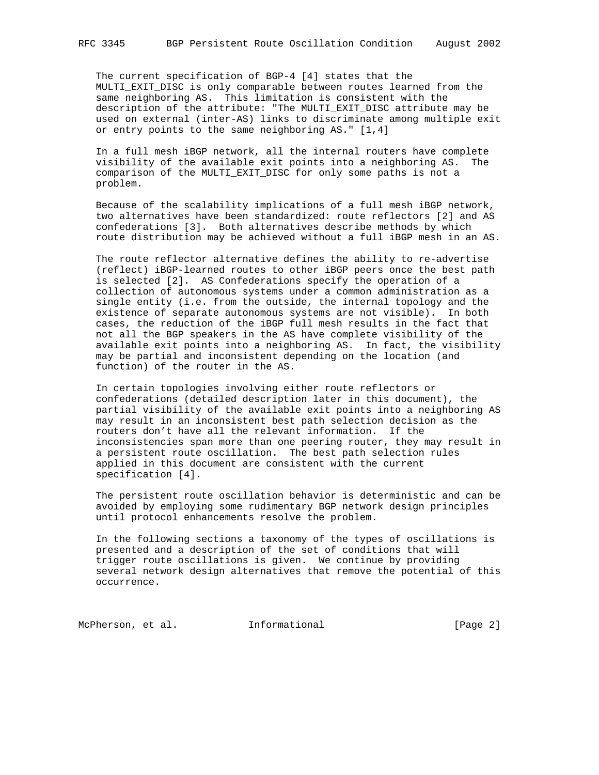The current specification of BGP-4 [4] states that the MULTI\_EXIT\_DISC is only comparable between routes learned from the same neighboring AS. This limitation is consistent with the description of the attribute: "The MULTI\_EXIT\_DISC attribute may be used on external (inter-AS) links to discriminate among multiple exit or entry points to the same neighboring AS." [1,4]

 In a full mesh iBGP network, all the internal routers have complete visibility of the available exit points into a neighboring AS. The comparison of the MULTI\_EXIT\_DISC for only some paths is not a problem.

 Because of the scalability implications of a full mesh iBGP network, two alternatives have been standardized: route reflectors [2] and AS confederations [3]. Both alternatives describe methods by which route distribution may be achieved without a full iBGP mesh in an AS.

 The route reflector alternative defines the ability to re-advertise (reflect) iBGP-learned routes to other iBGP peers once the best path is selected [2]. AS Confederations specify the operation of a collection of autonomous systems under a common administration as a single entity (i.e. from the outside, the internal topology and the existence of separate autonomous systems are not visible). In both cases, the reduction of the iBGP full mesh results in the fact that not all the BGP speakers in the AS have complete visibility of the available exit points into a neighboring AS. In fact, the visibility may be partial and inconsistent depending on the location (and function) of the router in the AS.

 In certain topologies involving either route reflectors or confederations (detailed description later in this document), the partial visibility of the available exit points into a neighboring AS may result in an inconsistent best path selection decision as the routers don't have all the relevant information. If the inconsistencies span more than one peering router, they may result in a persistent route oscillation. The best path selection rules applied in this document are consistent with the current specification [4].

 The persistent route oscillation behavior is deterministic and can be avoided by employing some rudimentary BGP network design principles until protocol enhancements resolve the problem.

 In the following sections a taxonomy of the types of oscillations is presented and a description of the set of conditions that will trigger route oscillations is given. We continue by providing several network design alternatives that remove the potential of this occurrence.

McPherson, et al. 1nformational 1999 [Page 2]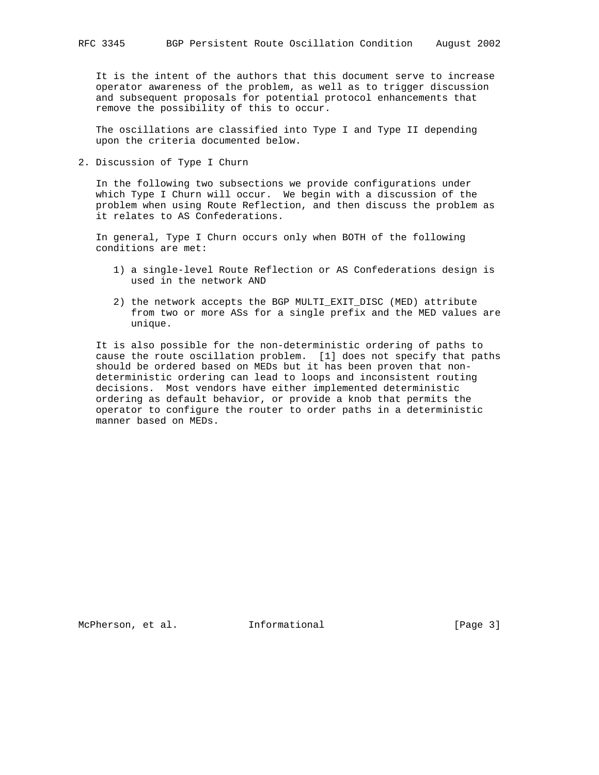It is the intent of the authors that this document serve to increase operator awareness of the problem, as well as to trigger discussion and subsequent proposals for potential protocol enhancements that remove the possibility of this to occur.

 The oscillations are classified into Type I and Type II depending upon the criteria documented below.

2. Discussion of Type I Churn

 In the following two subsections we provide configurations under which Type I Churn will occur. We begin with a discussion of the problem when using Route Reflection, and then discuss the problem as it relates to AS Confederations.

 In general, Type I Churn occurs only when BOTH of the following conditions are met:

- 1) a single-level Route Reflection or AS Confederations design is used in the network AND
- 2) the network accepts the BGP MULTI\_EXIT\_DISC (MED) attribute from two or more ASs for a single prefix and the MED values are unique.

 It is also possible for the non-deterministic ordering of paths to cause the route oscillation problem. [1] does not specify that paths should be ordered based on MEDs but it has been proven that non deterministic ordering can lead to loops and inconsistent routing decisions. Most vendors have either implemented deterministic ordering as default behavior, or provide a knob that permits the operator to configure the router to order paths in a deterministic manner based on MEDs.

McPherson, et al. 1nformational [Page 3]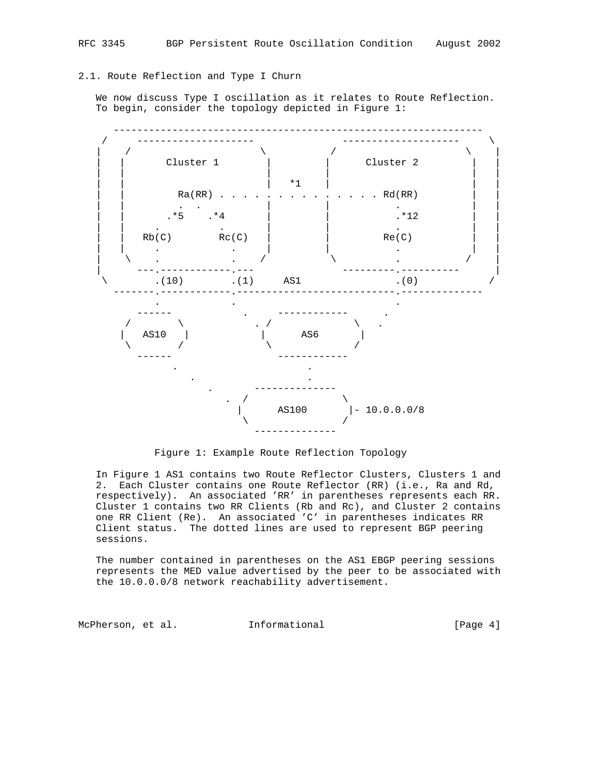# 2.1. Route Reflection and Type I Churn

 We now discuss Type I oscillation as it relates to Route Reflection. To begin, consider the topology depicted in Figure 1:



Figure 1: Example Route Reflection Topology

 In Figure 1 AS1 contains two Route Reflector Clusters, Clusters 1 and 2. Each Cluster contains one Route Reflector (RR) (i.e., Ra and Rd, respectively). An associated 'RR' in parentheses represents each RR. Cluster 1 contains two RR Clients (Rb and Rc), and Cluster 2 contains one RR Client (Re). An associated 'C' in parentheses indicates RR Client status. The dotted lines are used to represent BGP peering sessions.

 The number contained in parentheses on the AS1 EBGP peering sessions represents the MED value advertised by the peer to be associated with the 10.0.0.0/8 network reachability advertisement.

McPherson, et al. 1nformational 1999 (Page 4)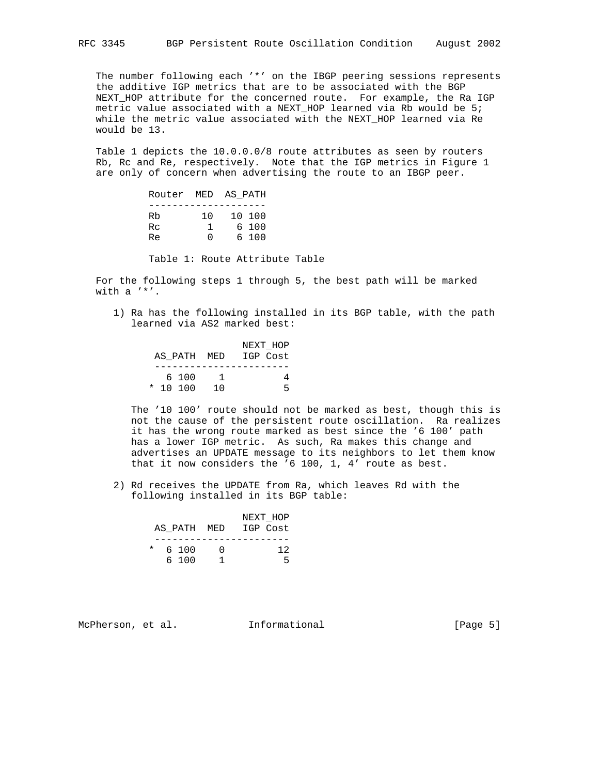The number following each '\*' on the IBGP peering sessions represents the additive IGP metrics that are to be associated with the BGP NEXT\_HOP attribute for the concerned route. For example, the Ra IGP metric value associated with a NEXT\_HOP learned via Rb would be 5; while the metric value associated with the NEXT\_HOP learned via Re would be 13.

 Table 1 depicts the 10.0.0.0/8 route attributes as seen by routers Rb, Rc and Re, respectively. Note that the IGP metrics in Figure 1 are only of concern when advertising the route to an IBGP peer.

|                |                     | Router MED AS PATH       |
|----------------|---------------------|--------------------------|
| Rb<br>Rc<br>Re | 1 O<br><sup>n</sup> | 10 100<br>6 100<br>6 100 |
|                |                     |                          |

Table 1: Route Attribute Table

 For the following steps 1 through 5, the best path will be marked with a '\*'.

 1) Ra has the following installed in its BGP table, with the path learned via AS2 marked best:

|  |            |                      | NEXT HOP |
|--|------------|----------------------|----------|
|  |            | AS PATH MED IGP Cost |          |
|  |            |                      |          |
|  | 6 100      | - 1                  |          |
|  | $*$ 10 100 | $\overline{10}$      |          |

 The '10 100' route should not be marked as best, though this is not the cause of the persistent route oscillation. Ra realizes it has the wrong route marked as best since the '6 100' path has a lower IGP metric. As such, Ra makes this change and advertises an UPDATE message to its neighbors to let them know that it now considers the '6 100, 1, 4' route as best.

 2) Rd receives the UPDATE from Ra, which leaves Rd with the following installed in its BGP table:

|  |           |                      | NEXT HOP |
|--|-----------|----------------------|----------|
|  |           | AS PATH MED IGP Cost |          |
|  |           |                      |          |
|  | $*$ 6.100 |                      | 12       |
|  | 6 100     |                      |          |

McPherson, et al. 1nformational [Page 5]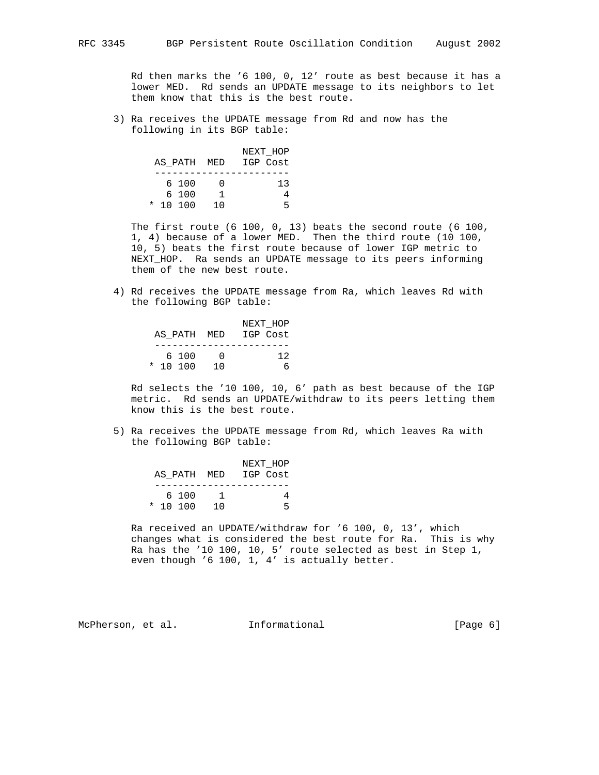Rd then marks the '6 100, 0, 12' route as best because it has a lower MED. Rd sends an UPDATE message to its neighbors to let them know that this is the best route.

 3) Ra receives the UPDATE message from Rd and now has the following in its BGP table:

|            |       |     |                      | NEXT HOP |
|------------|-------|-----|----------------------|----------|
|            |       |     | AS PATH MED IGP Cost |          |
|            |       |     |                      |          |
|            | 6 100 |     |                      | 13       |
|            | 6 100 |     |                      |          |
| $*$ 10 100 |       | 1 O |                      | ц.       |

 The first route (6 100, 0, 13) beats the second route (6 100, 1, 4) because of a lower MED. Then the third route (10 100, 10, 5) beats the first route because of lower IGP metric to NEXT\_HOP. Ra sends an UPDATE message to its peers informing them of the new best route.

 4) Rd receives the UPDATE message from Ra, which leaves Rd with the following BGP table:

|  |            |            | NEXT HOP             |
|--|------------|------------|----------------------|
|  |            |            | AS PATH MED IGP Cost |
|  |            |            |                      |
|  | 6100       | $\sqrt{ }$ | 12                   |
|  | $*$ 10 100 | 10         |                      |

 Rd selects the '10 100, 10, 6' path as best because of the IGP metric. Rd sends an UPDATE/withdraw to its peers letting them know this is the best route.

 5) Ra receives the UPDATE message from Rd, which leaves Ra with the following BGP table:

|  |            |                 |                      | NEXT HOP |
|--|------------|-----------------|----------------------|----------|
|  |            |                 | AS PATH MED IGP Cost |          |
|  |            |                 |                      |          |
|  | 6 100      |                 |                      |          |
|  | $*$ 10 100 | $\overline{10}$ |                      |          |

 Ra received an UPDATE/withdraw for '6 100, 0, 13', which changes what is considered the best route for Ra. This is why Ra has the '10 100, 10, 5' route selected as best in Step 1, even though '6 100, 1, 4' is actually better.

McPherson, et al. 1nformational [Page 6]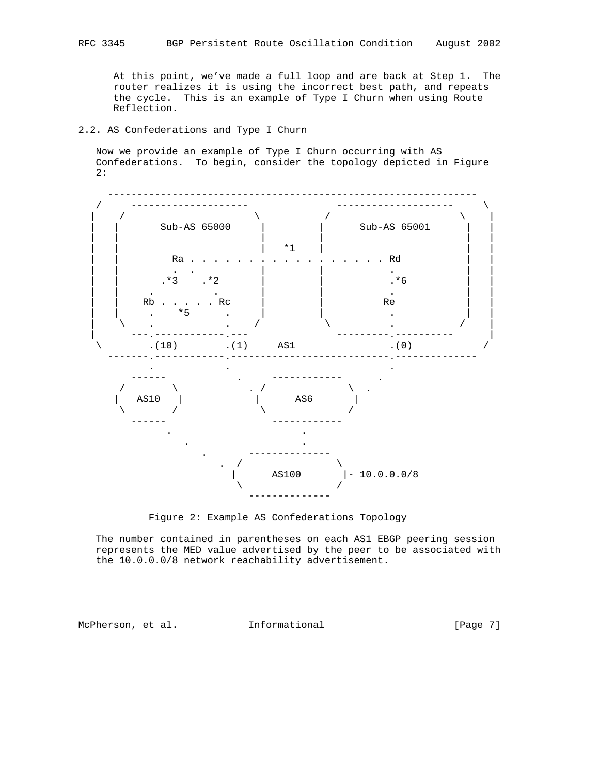At this point, we've made a full loop and are back at Step 1. The router realizes it is using the incorrect best path, and repeats the cycle. This is an example of Type I Churn when using Route Reflection.

## 2.2. AS Confederations and Type I Churn

 Now we provide an example of Type I Churn occurring with AS Confederations. To begin, consider the topology depicted in Figure 2:





 The number contained in parentheses on each AS1 EBGP peering session represents the MED value advertised by the peer to be associated with the 10.0.0.0/8 network reachability advertisement.

McPherson, et al. 1nformational [Page 7]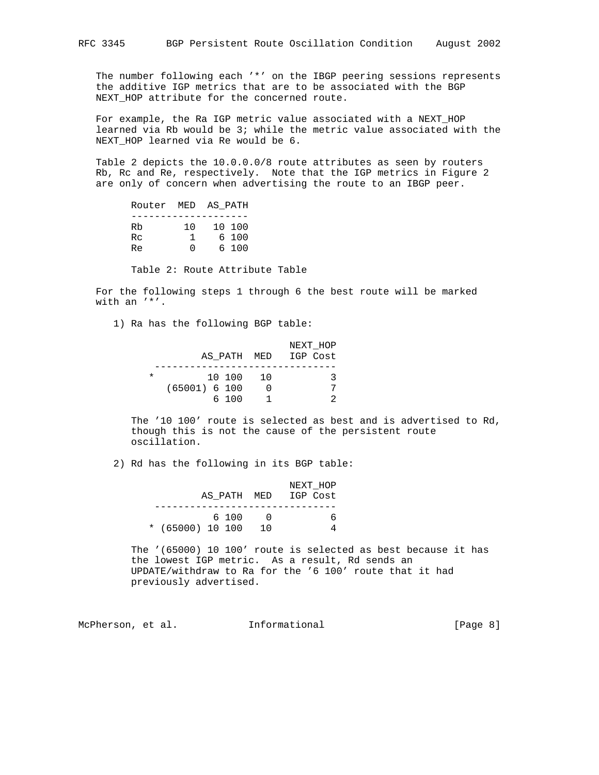The number following each '\*' on the IBGP peering sessions represents the additive IGP metrics that are to be associated with the BGP NEXT\_HOP attribute for the concerned route.

 For example, the Ra IGP metric value associated with a NEXT\_HOP learned via Rb would be 3; while the metric value associated with the NEXT\_HOP learned via Re would be 6.

 Table 2 depicts the 10.0.0.0/8 route attributes as seen by routers Rb, Rc and Re, respectively. Note that the IGP metrics in Figure 2 are only of concern when advertising the route to an IBGP peer.

|    | Router MED AS PATH |     |        |
|----|--------------------|-----|--------|
|    |                    |     |        |
| Rb |                    | 1 N | 10 100 |
| Rc |                    | 1   | 6 100  |
| Re |                    | U   | 6 100  |

Table 2: Route Attribute Table

 For the following steps 1 through 6 the best route will be marked with an '\*'.

1) Ra has the following BGP table:

|          |                 | NEXT HOP             |
|----------|-----------------|----------------------|
|          |                 | AS PATH MED IGP Cost |
|          |                 |                      |
| $^\star$ | 10 100 10       |                      |
|          | $(65001)$ 6 100 |                      |
|          | 6 100           |                      |

 The '10 100' route is selected as best and is advertised to Rd, though this is not the cause of the persistent route oscillation.

2) Rd has the following in its BGP table:

|                    |    | NEXT HOP             |
|--------------------|----|----------------------|
|                    |    | AS PATH MED IGP Cost |
|                    |    |                      |
| 6100               |    |                      |
| * $(65000)$ 10 100 | 10 |                      |

 The '(65000) 10 100' route is selected as best because it has the lowest IGP metric. As a result, Rd sends an UPDATE/withdraw to Ra for the '6 100' route that it had previously advertised.

McPherson, et al. 1nformational [Page 8]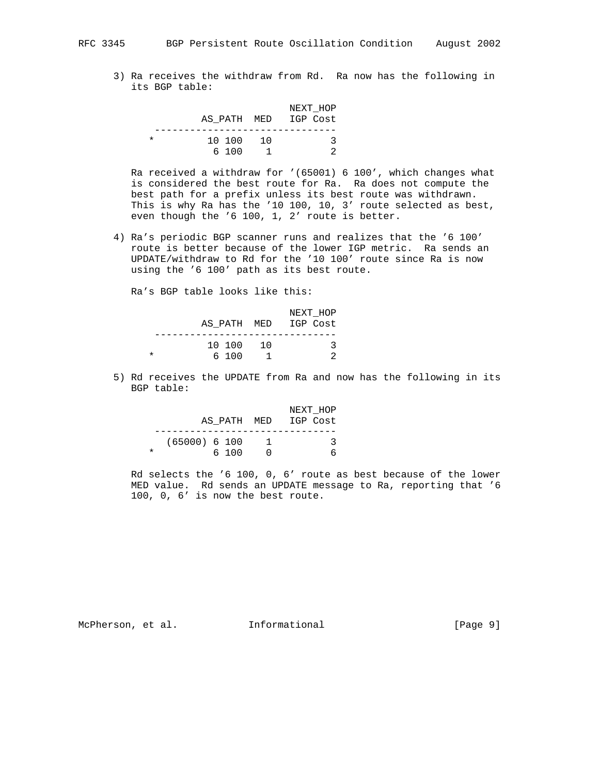3) Ra receives the withdraw from Rd. Ra now has the following in its BGP table:

|          |        |                 | NEXT HOP             |
|----------|--------|-----------------|----------------------|
|          |        |                 | AS PATH MED IGP Cost |
|          |        |                 |                      |
| $^\star$ | 10 100 | $\overline{10}$ |                      |
|          | 6 100  |                 |                      |

 Ra received a withdraw for '(65001) 6 100', which changes what is considered the best route for Ra. Ra does not compute the best path for a prefix unless its best route was withdrawn. This is why Ra has the '10 100, 10, 3' route selected as best, even though the '6 100, 1, 2' route is better.

 4) Ra's periodic BGP scanner runs and realizes that the '6 100' route is better because of the lower IGP metric. Ra sends an UPDATE/withdraw to Rd for the '10 100' route since Ra is now using the '6 100' path as its best route.

Ra's BGP table looks like this:

|   |           | NEXT HOP             |
|---|-----------|----------------------|
|   |           | AS PATH MED IGP Cost |
|   |           |                      |
|   | 10 100 10 |                      |
| * | 6100      |                      |

 5) Rd receives the UPDATE from Ra and now has the following in its BGP table:

|                  | NEXT HOP             |
|------------------|----------------------|
|                  | AS PATH MED IGP Cost |
|                  |                      |
| $(65000)$ 6 100  |                      |
| $^\star$<br>6100 |                      |

 Rd selects the '6 100, 0, 6' route as best because of the lower MED value. Rd sends an UPDATE message to Ra, reporting that '6 100, 0, 6' is now the best route.

McPherson, et al. 1nformational 1999 [Page 9]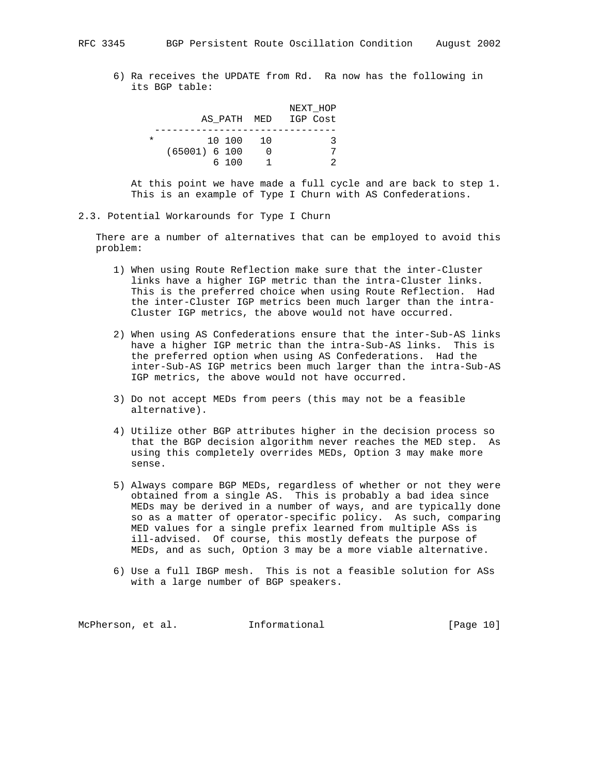6) Ra receives the UPDATE from Rd. Ra now has the following in its BGP table:

|          |                 | NEXT HOP |
|----------|-----------------|----------|
|          | AS PATH MED     | IGP Cost |
|          |                 |          |
| $^\star$ | 10 100 10       |          |
|          | $(65001)$ 6 100 |          |
|          | 6 100           |          |

 At this point we have made a full cycle and are back to step 1. This is an example of Type I Churn with AS Confederations.

2.3. Potential Workarounds for Type I Churn

 There are a number of alternatives that can be employed to avoid this problem:

- 1) When using Route Reflection make sure that the inter-Cluster links have a higher IGP metric than the intra-Cluster links. This is the preferred choice when using Route Reflection. Had the inter-Cluster IGP metrics been much larger than the intra- Cluster IGP metrics, the above would not have occurred.
- 2) When using AS Confederations ensure that the inter-Sub-AS links have a higher IGP metric than the intra-Sub-AS links. This is the preferred option when using AS Confederations. Had the inter-Sub-AS IGP metrics been much larger than the intra-Sub-AS IGP metrics, the above would not have occurred.
- 3) Do not accept MEDs from peers (this may not be a feasible alternative).
- 4) Utilize other BGP attributes higher in the decision process so that the BGP decision algorithm never reaches the MED step. As using this completely overrides MEDs, Option 3 may make more sense.
- 5) Always compare BGP MEDs, regardless of whether or not they were obtained from a single AS. This is probably a bad idea since MEDs may be derived in a number of ways, and are typically done so as a matter of operator-specific policy. As such, comparing MED values for a single prefix learned from multiple ASs is ill-advised. Of course, this mostly defeats the purpose of MEDs, and as such, Option 3 may be a more viable alternative.
- 6) Use a full IBGP mesh. This is not a feasible solution for ASs with a large number of BGP speakers.

McPherson, et al. 1nformational 1999 [Page 10]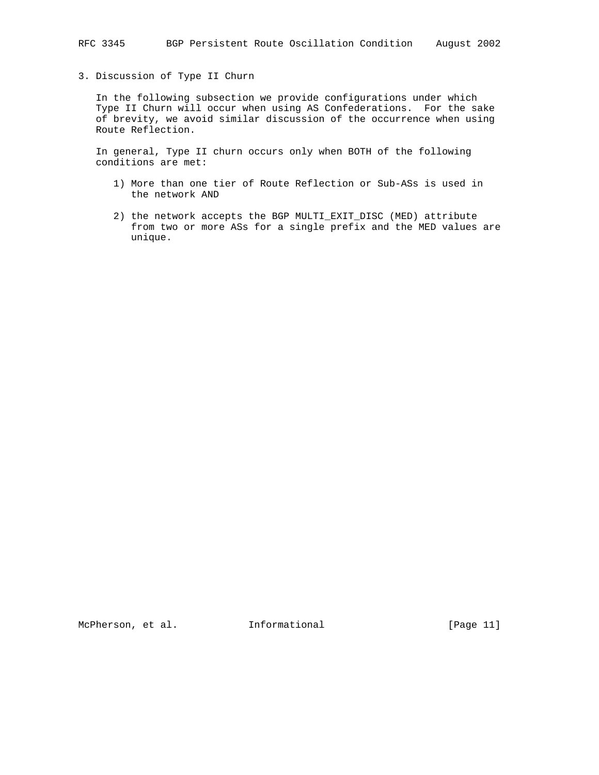## 3. Discussion of Type II Churn

 In the following subsection we provide configurations under which Type II Churn will occur when using AS Confederations. For the sake of brevity, we avoid similar discussion of the occurrence when using Route Reflection.

 In general, Type II churn occurs only when BOTH of the following conditions are met:

- 1) More than one tier of Route Reflection or Sub-ASs is used in the network AND
- 2) the network accepts the BGP MULTI\_EXIT\_DISC (MED) attribute from two or more ASs for a single prefix and the MED values are unique.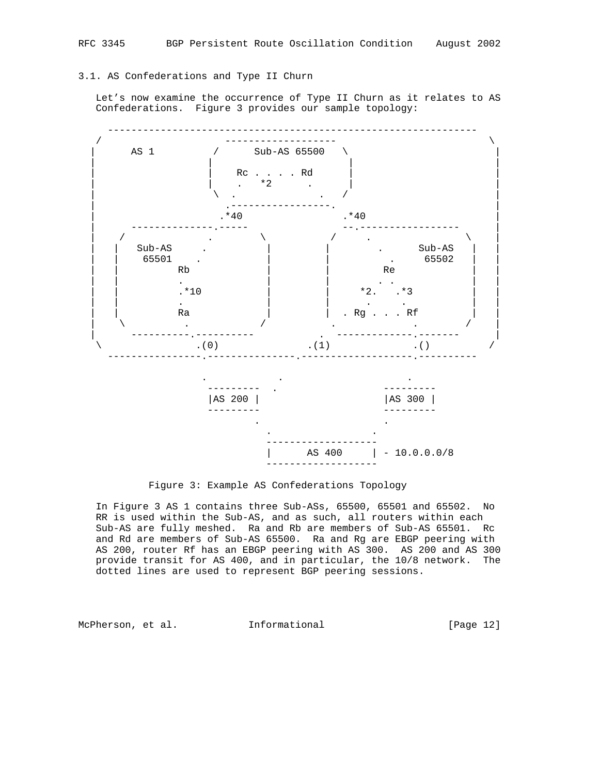#### 3.1. AS Confederations and Type II Churn

 Let's now examine the occurrence of Type II Churn as it relates to AS Confederations. Figure 3 provides our sample topology:



Figure 3: Example AS Confederations Topology

 In Figure 3 AS 1 contains three Sub-ASs, 65500, 65501 and 65502. No RR is used within the Sub-AS, and as such, all routers within each Sub-AS are fully meshed. Ra and Rb are members of Sub-AS 65501. Rc and Rd are members of Sub-AS 65500. Ra and Rg are EBGP peering with AS 200, router Rf has an EBGP peering with AS 300. AS 200 and AS 300 provide transit for AS 400, and in particular, the 10/8 network. The dotted lines are used to represent BGP peering sessions.

McPherson, et al. **Informational** [Page 12]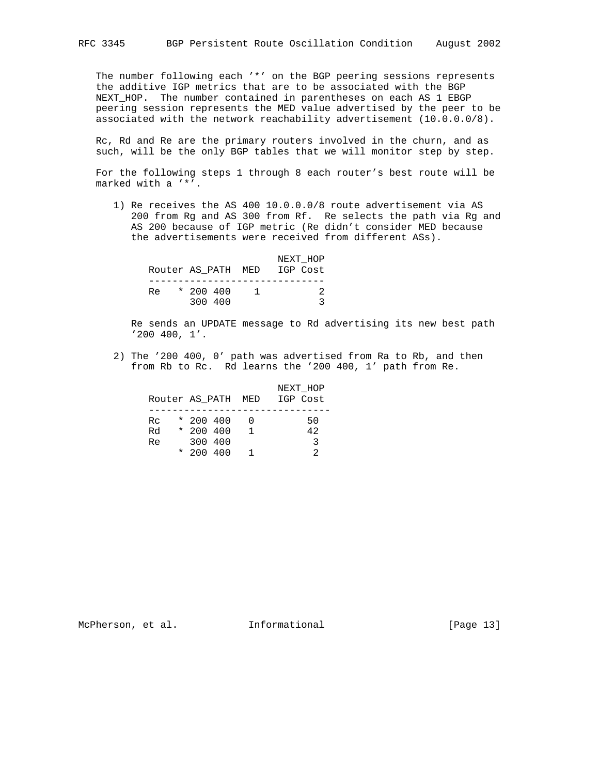The number following each '\*' on the BGP peering sessions represents the additive IGP metrics that are to be associated with the BGP NEXT\_HOP. The number contained in parentheses on each AS 1 EBGP peering session represents the MED value advertised by the peer to be associated with the network reachability advertisement (10.0.0.0/8).

 Rc, Rd and Re are the primary routers involved in the churn, and as such, will be the only BGP tables that we will monitor step by step.

 For the following steps 1 through 8 each router's best route will be marked with a '\*'.

 1) Re receives the AS 400 10.0.0.0/8 route advertisement via AS 200 from Rg and AS 300 from Rf. Re selects the path via Rg and AS 200 because of IGP metric (Re didn't consider MED because the advertisements were received from different ASs).

|    |             | NEXT HOP                    |
|----|-------------|-----------------------------|
|    |             | Router AS PATH MED IGP Cost |
|    |             |                             |
| Re | $*$ 200 400 |                             |
|    | 300 400     |                             |

 Re sends an UPDATE message to Rd advertising its new best path '200 400, 1'.

 2) The '200 400, 0' path was advertised from Ra to Rb, and then from Rb to Rc. Rd learns the '200 400, 1' path from Re.

| Router AS PATH MED |             |                | NEXT HOP<br>IGP Cost |
|--------------------|-------------|----------------|----------------------|
| Rc.                | $*$ 200 400 | $\overline{0}$ | 50                   |
| Rd                 | $*$ 200 400 | $\overline{1}$ | 42                   |
| Re.                | 300 400     |                | -3                   |
|                    | $*$ 200 400 |                |                      |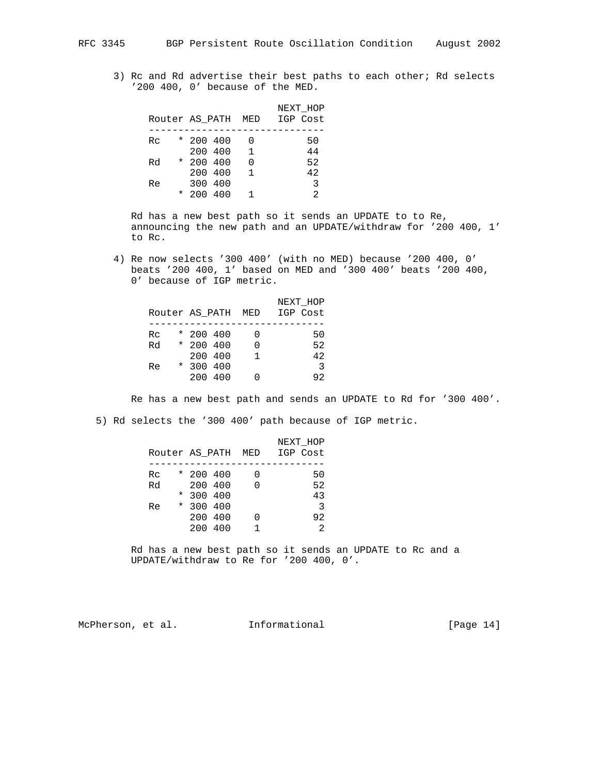3) Rc and Rd advertise their best paths to each other; Rd selects '200 400, 0' because of the MED.

|    |         |             |           |                | NEXT HOP<br>Router AS PATH MED IGP Cost |
|----|---------|-------------|-----------|----------------|-----------------------------------------|
|    |         |             |           |                |                                         |
| Rc |         | $*$ 200 400 |           | - 0            | 50                                      |
|    |         |             | 200 400 1 |                | 44                                      |
| Rd |         | $*$ 200 400 |           | $\overline{0}$ | 52                                      |
|    |         | 200 400     |           | $\overline{1}$ | 42                                      |
| Re |         | 300 400     |           |                | $\overline{3}$                          |
|    | $\star$ | 200 400     |           | $\mathbf{1}$   | $\mathfrak{D}$                          |

 Rd has a new best path so it sends an UPDATE to to Re, announcing the new path and an UPDATE/withdraw for '200 400, 1' to Rc.

 4) Re now selects '300 400' (with no MED) because '200 400, 0' beats '200 400, 1' based on MED and '300 400' beats '200 400, 0' because of IGP metric.

|    |             |                | NEXT HOP<br>Router AS PATH MED IGP Cost |
|----|-------------|----------------|-----------------------------------------|
| Rc | $*$ 200 400 |                | 50                                      |
| Rd | * 200 400   | $\Omega$       | 52                                      |
|    | 200 400     | $\overline{1}$ | 42                                      |
| Re | $*$ 300 400 |                | 3                                       |
|    | 200 400     |                | 92                                      |

Re has a new best path and sends an UPDATE to Rd for '300 400'.

5) Rd selects the '300 400' path because of IGP metric.

|    |             |     |   | NEXT HOP<br>Router AS PATH MED IGP Cost |
|----|-------------|-----|---|-----------------------------------------|
|    |             |     |   |                                         |
| Rc | $*$ 200 400 |     |   | 50                                      |
| Rd | 200 400     |     | 0 | 52                                      |
|    | $*300400$   |     |   | 43                                      |
| Re | $*300400$   |     |   | $\overline{3}$                          |
|    | 200 400     |     |   | 92                                      |
|    | 200         | 400 |   | 2                                       |
|    |             |     |   |                                         |

 Rd has a new best path so it sends an UPDATE to Rc and a UPDATE/withdraw to Re for '200 400, 0'.

McPherson, et al. **Informational** [Page 14]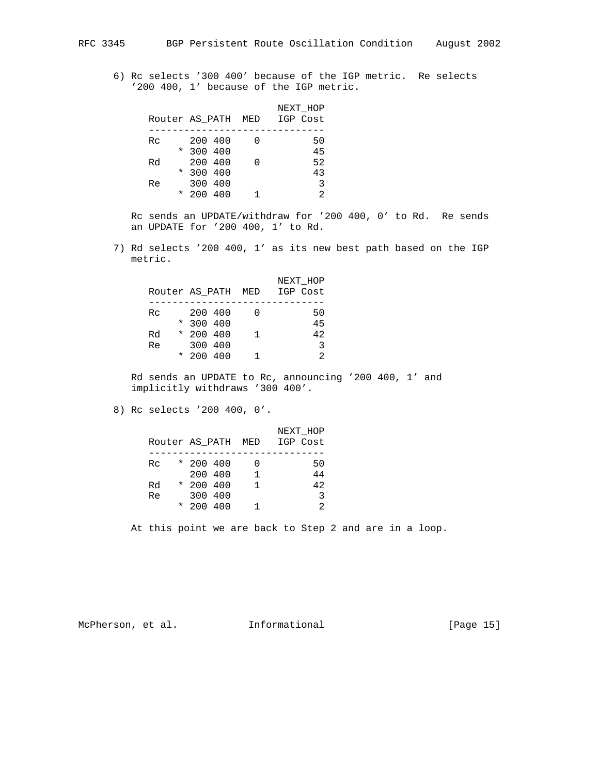6) Rc selects '300 400' because of the IGP metric. Re selects '200 400, 1' because of the IGP metric.

|         |           |  | NEXT HOP                    |
|---------|-----------|--|-----------------------------|
|         |           |  | Router AS PATH MED IGP Cost |
|         |           |  |                             |
| Rc      | 200 400   |  | 50                          |
|         | $*300400$ |  | 45                          |
| Rd      | 200 400   |  | 52                          |
|         | $*300400$ |  | 43                          |
| Re      | 300 400   |  | 3                           |
| $\star$ | 200 400   |  | 2                           |

 Rc sends an UPDATE/withdraw for '200 400, 0' to Rd. Re sends an UPDATE for '200 400, 1' to Rd.

 7) Rd selects '200 400, 1' as its new best path based on the IGP metric.

|    |             |                | NEXT HOP                    |
|----|-------------|----------------|-----------------------------|
|    |             |                | Router AS PATH MED IGP Cost |
|    |             |                |                             |
| Rc | 200 400     |                | 50                          |
|    | $*300400$   |                | 45                          |
| Rd | $*$ 200 400 | $\overline{1}$ | 42                          |
| Re | 300 400     |                | 3                           |
|    | $*$ 200 400 |                | $\mathfrak{D}$              |
|    |             |                |                             |

 Rd sends an UPDATE to Rc, announcing '200 400, 1' and implicitly withdraws '300 400'.

8) Rc selects '200 400, 0'.

|    |             |                | NEXT HOP<br>Router AS PATH MED IGP Cost |
|----|-------------|----------------|-----------------------------------------|
| Rc | $*$ 200 400 |                | 50                                      |
|    | 200 400     | $\overline{1}$ | 44                                      |
| Rd | $*$ 200 400 | $\mathbf{1}$   | 42                                      |
| Re | 300 400     |                | 3                                       |
|    | $*$ 200 400 |                | $\mathfrak{D}$                          |

At this point we are back to Step 2 and are in a loop.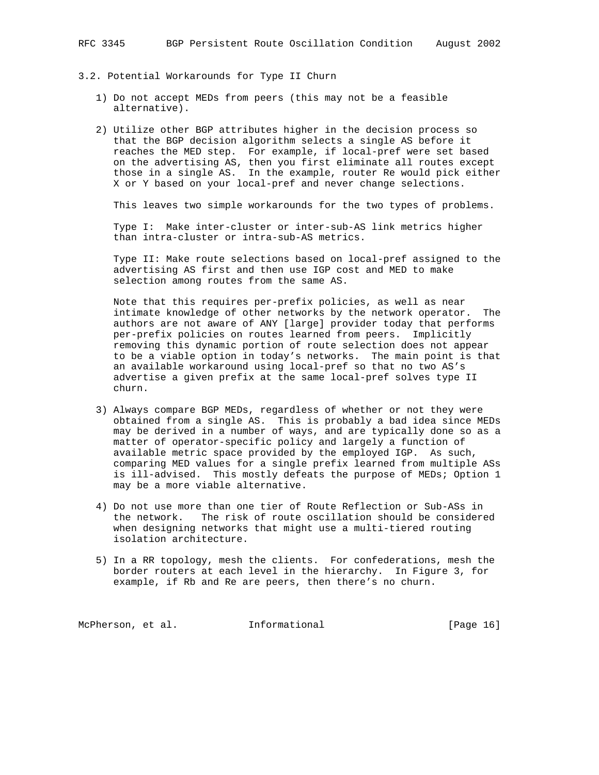- 3.2. Potential Workarounds for Type II Churn
	- 1) Do not accept MEDs from peers (this may not be a feasible alternative).
	- 2) Utilize other BGP attributes higher in the decision process so that the BGP decision algorithm selects a single AS before it reaches the MED step. For example, if local-pref were set based on the advertising AS, then you first eliminate all routes except those in a single AS. In the example, router Re would pick either X or Y based on your local-pref and never change selections.

This leaves two simple workarounds for the two types of problems.

 Type I: Make inter-cluster or inter-sub-AS link metrics higher than intra-cluster or intra-sub-AS metrics.

 Type II: Make route selections based on local-pref assigned to the advertising AS first and then use IGP cost and MED to make selection among routes from the same AS.

 Note that this requires per-prefix policies, as well as near intimate knowledge of other networks by the network operator. The authors are not aware of ANY [large] provider today that performs per-prefix policies on routes learned from peers. Implicitly removing this dynamic portion of route selection does not appear to be a viable option in today's networks. The main point is that an available workaround using local-pref so that no two AS's advertise a given prefix at the same local-pref solves type II churn.

- 3) Always compare BGP MEDs, regardless of whether or not they were obtained from a single AS. This is probably a bad idea since MEDs may be derived in a number of ways, and are typically done so as a matter of operator-specific policy and largely a function of available metric space provided by the employed IGP. As such, comparing MED values for a single prefix learned from multiple ASs is ill-advised. This mostly defeats the purpose of MEDs; Option 1 may be a more viable alternative.
- 4) Do not use more than one tier of Route Reflection or Sub-ASs in the network. The risk of route oscillation should be considered when designing networks that might use a multi-tiered routing isolation architecture.
- 5) In a RR topology, mesh the clients. For confederations, mesh the border routers at each level in the hierarchy. In Figure 3, for example, if Rb and Re are peers, then there's no churn.

McPherson, et al. 1nformational [Page 16]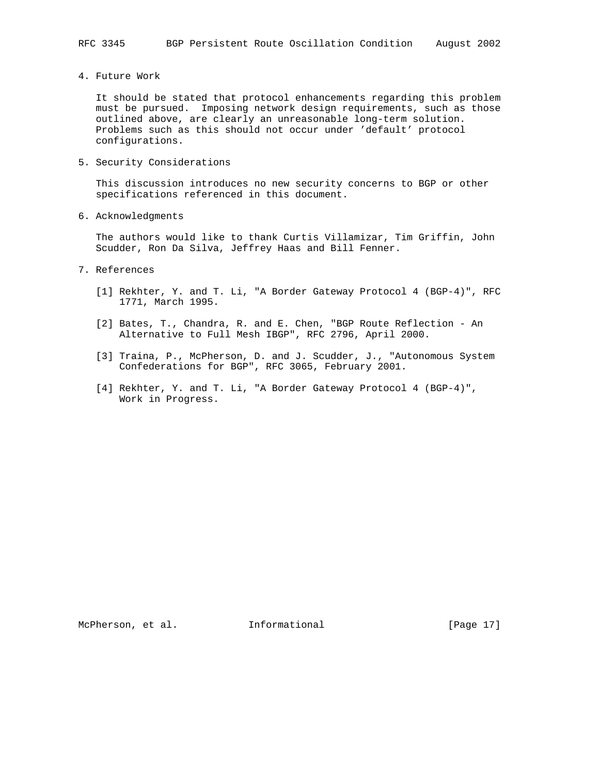4. Future Work

 It should be stated that protocol enhancements regarding this problem must be pursued. Imposing network design requirements, such as those outlined above, are clearly an unreasonable long-term solution. Problems such as this should not occur under 'default' protocol configurations.

5. Security Considerations

 This discussion introduces no new security concerns to BGP or other specifications referenced in this document.

6. Acknowledgments

 The authors would like to thank Curtis Villamizar, Tim Griffin, John Scudder, Ron Da Silva, Jeffrey Haas and Bill Fenner.

- 7. References
	- [1] Rekhter, Y. and T. Li, "A Border Gateway Protocol 4 (BGP-4)", RFC 1771, March 1995.
	- [2] Bates, T., Chandra, R. and E. Chen, "BGP Route Reflection An Alternative to Full Mesh IBGP", RFC 2796, April 2000.
	- [3] Traina, P., McPherson, D. and J. Scudder, J., "Autonomous System Confederations for BGP", RFC 3065, February 2001.
	- [4] Rekhter, Y. and T. Li, "A Border Gateway Protocol 4 (BGP-4)", Work in Progress.

McPherson, et al. 1nformational [Page 17]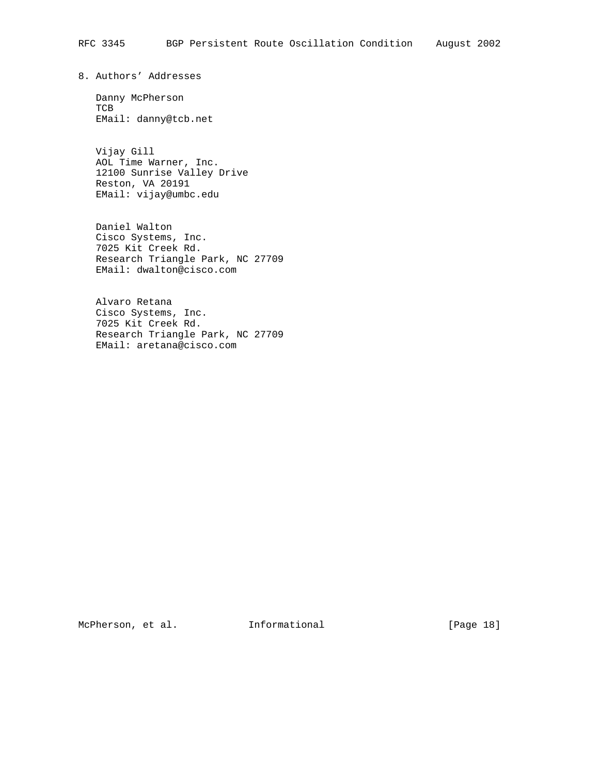8. Authors' Addresses

 Danny McPherson TCB EMail: danny@tcb.net

 Vijay Gill AOL Time Warner, Inc. 12100 Sunrise Valley Drive Reston, VA 20191 EMail: vijay@umbc.edu

 Daniel Walton Cisco Systems, Inc. 7025 Kit Creek Rd. Research Triangle Park, NC 27709 EMail: dwalton@cisco.com

 Alvaro Retana Cisco Systems, Inc. 7025 Kit Creek Rd. Research Triangle Park, NC 27709 EMail: aretana@cisco.com

McPherson, et al. 1nformational 1999 [Page 18]